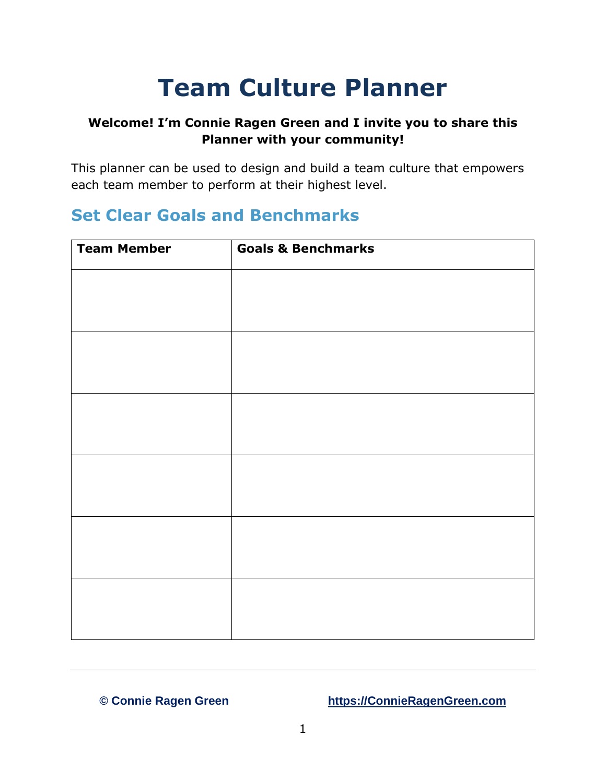# **Team Culture Planner**

#### **Welcome! I'm Connie Ragen Green and I invite you to share this Planner with your community!**

This planner can be used to design and build a team culture that empowers each team member to perform at their highest level.

#### **Set Clear Goals and Benchmarks**

| <b>Goals &amp; Benchmarks</b> |
|-------------------------------|
|                               |
|                               |
|                               |
|                               |
|                               |
|                               |
|                               |
|                               |
|                               |
|                               |
|                               |
|                               |
|                               |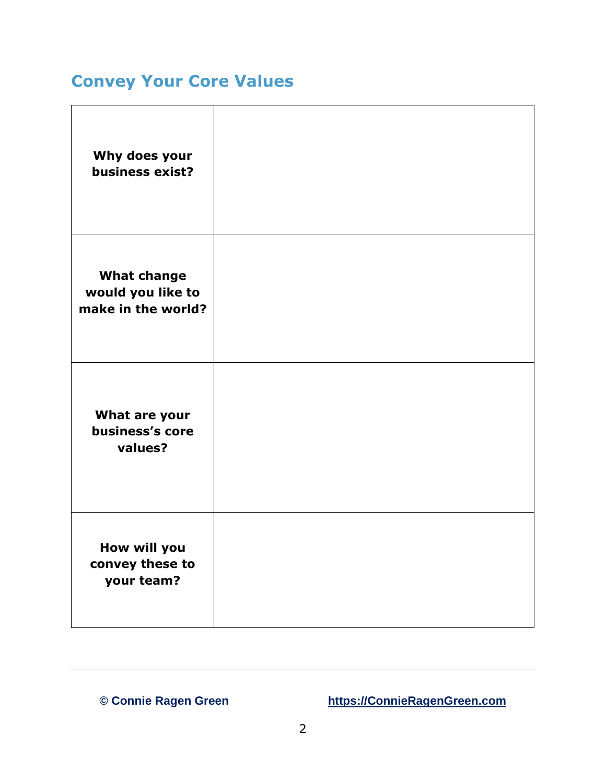## **Convey Your Core Values**

| Why does your<br>business exist?                              |  |
|---------------------------------------------------------------|--|
| <b>What change</b><br>would you like to<br>make in the world? |  |
| What are your<br>business's core<br>values?                   |  |
| How will you<br>convey these to<br>your team?                 |  |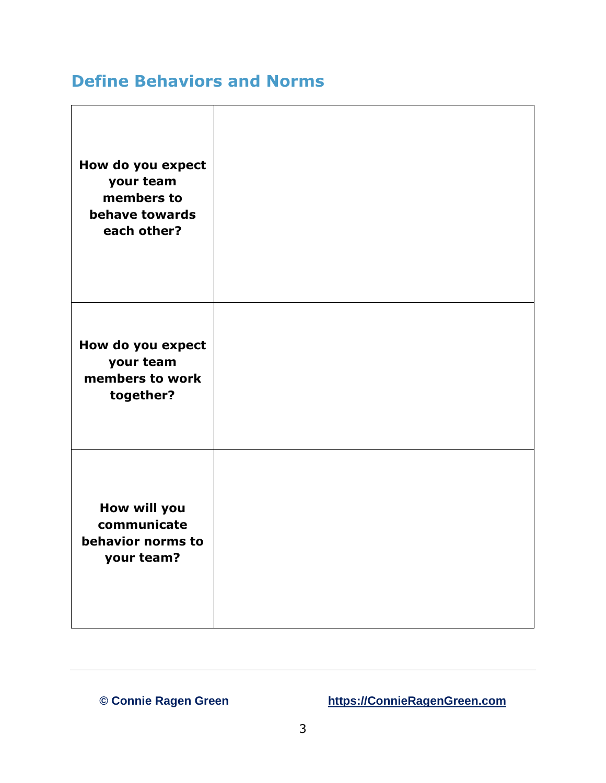#### **Define Behaviors and Norms**

| How do you expect<br>your team<br>members to<br>behave towards<br>each other? |  |
|-------------------------------------------------------------------------------|--|
| How do you expect<br>your team<br>members to work<br>together?                |  |
| How will you<br>communicate<br>behavior norms to<br>your team?                |  |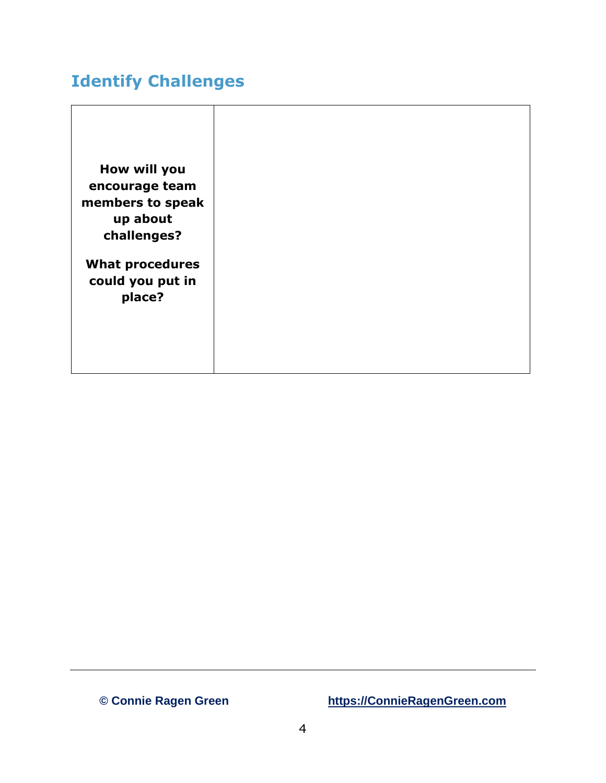#### **Identify Challenges**

**How will you encourage team members to speak up about challenges?**

**What procedures could you put in place?**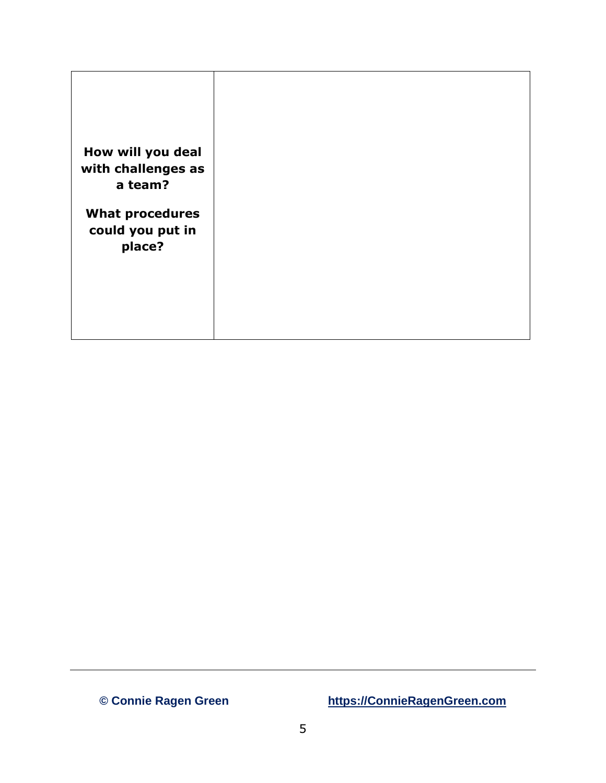| How will you deal<br>with challenges as<br>a team?   |  |
|------------------------------------------------------|--|
| <b>What procedures</b><br>could you put in<br>place? |  |
|                                                      |  |
|                                                      |  |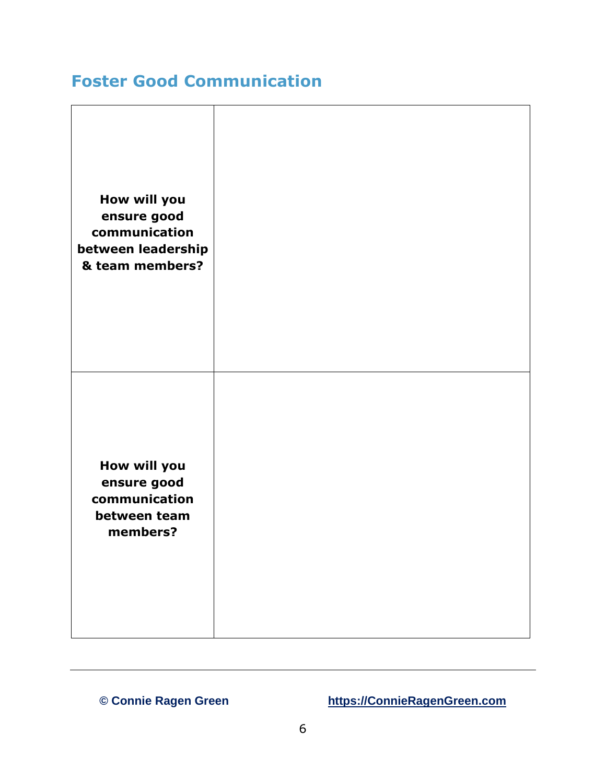### **Foster Good Communication**

| How will you<br>ensure good<br>communication<br>between leadership<br>& team members? |  |
|---------------------------------------------------------------------------------------|--|
| How will you<br>ensure good<br>communication<br>between team<br>members?              |  |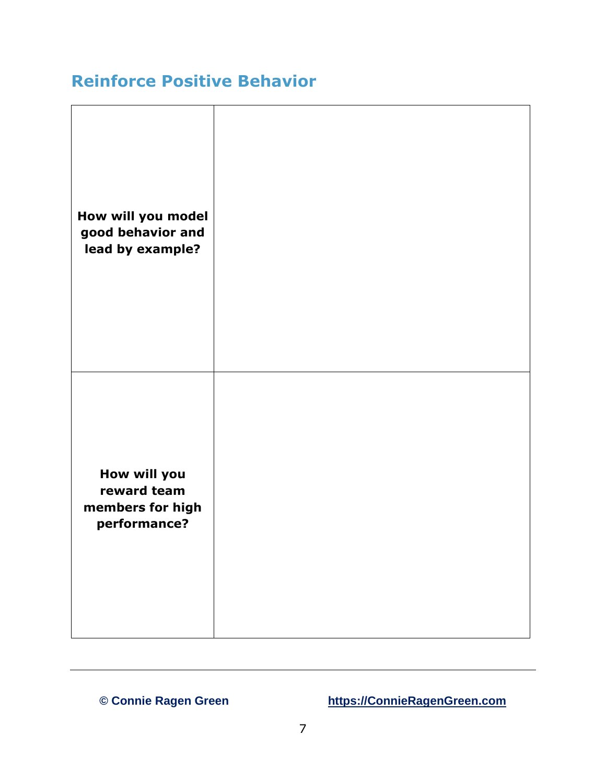#### **Reinforce Positive Behavior**

| How will you model<br>good behavior and<br>lead by example?     |  |
|-----------------------------------------------------------------|--|
| How will you<br>reward team<br>members for high<br>performance? |  |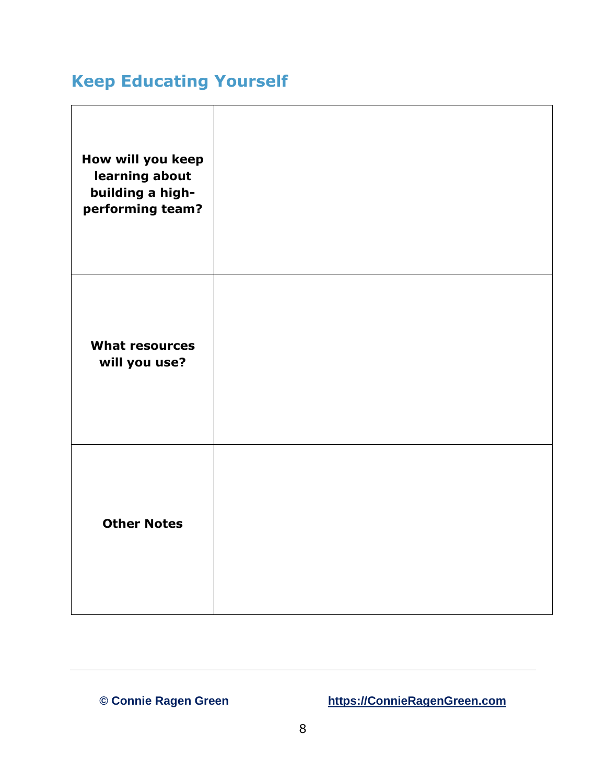## **Keep Educating Yourself**

| How will you keep<br>learning about<br>building a high-<br>performing team? |  |
|-----------------------------------------------------------------------------|--|
| <b>What resources</b><br>will you use?                                      |  |
| <b>Other Notes</b>                                                          |  |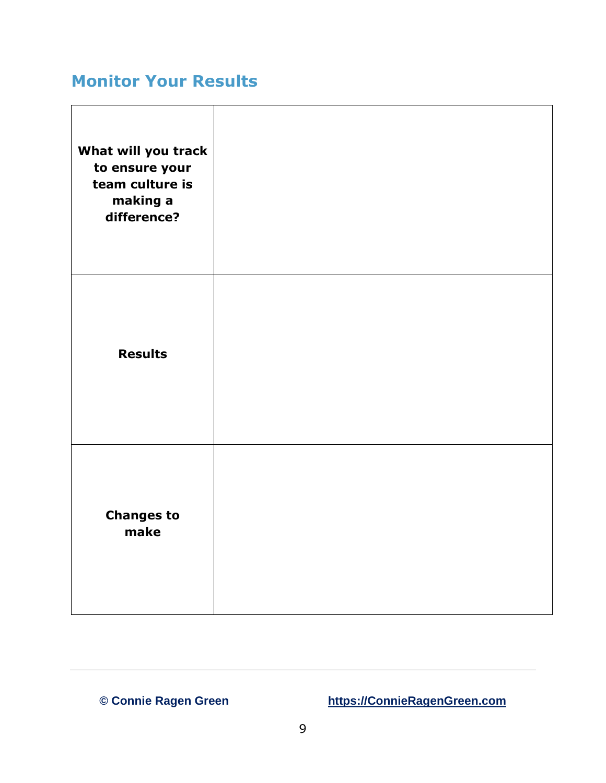#### **Monitor Your Results**

| What will you track<br>to ensure your<br>team culture is<br>making a<br>difference? |  |
|-------------------------------------------------------------------------------------|--|
| <b>Results</b>                                                                      |  |
| <b>Changes to</b><br>make                                                           |  |